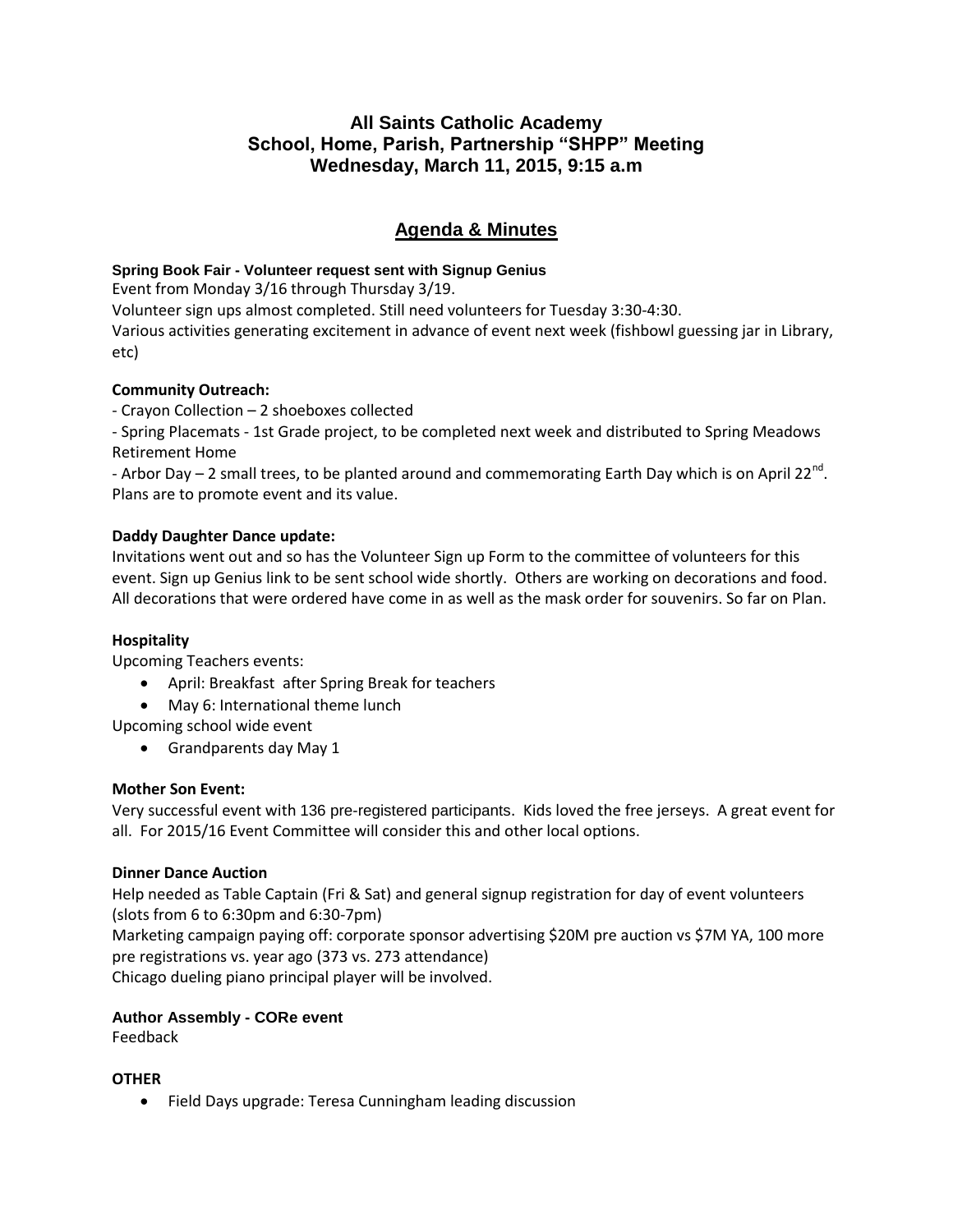## **All Saints Catholic Academy School, Home, Parish, Partnership "SHPP" Meeting Wednesday, March 11, 2015, 9:15 a.m**

# **Agenda & Minutes**

#### **Spring Book Fair - Volunteer request sent with Signup Genius**

Event from Monday 3/16 through Thursday 3/19.

Volunteer sign ups almost completed. Still need volunteers for Tuesday 3:30-4:30.

Various activities generating excitement in advance of event next week (fishbowl guessing jar in Library, etc)

## **Community Outreach:**

- Crayon Collection – 2 shoeboxes collected

- Spring Placemats - 1st Grade project, to be completed next week and distributed to Spring Meadows Retirement Home

- Arbor Day – 2 small trees, to be planted around and commemorating Earth Day which is on April 22<sup>nd</sup>. Plans are to promote event and its value.

## **Daddy Daughter Dance update:**

Invitations went out and so has the Volunteer Sign up Form to the committee of volunteers for this event. Sign up Genius link to be sent school wide shortly. Others are working on decorations and food. All decorations that were ordered have come in as well as the mask order for souvenirs. So far on Plan.

#### **Hospitality**

Upcoming Teachers events:

- April: Breakfast after Spring Break for teachers
- May 6: International theme lunch

Upcoming school wide event

Grandparents day May 1

#### **Mother Son Event:**

Very successful event with 136 pre-registered participants. Kids loved the free jerseys. A great event for all. For 2015/16 Event Committee will consider this and other local options.

## **Dinner Dance Auction**

Help needed as Table Captain (Fri & Sat) and general signup registration for day of event volunteers (slots from 6 to 6:30pm and 6:30-7pm)

Marketing campaign paying off: corporate sponsor advertising \$20M pre auction vs \$7M YA, 100 more pre registrations vs. year ago (373 vs. 273 attendance)

Chicago dueling piano principal player will be involved.

## **Author Assembly - CORe event**

Feedback

#### **OTHER**

Field Days upgrade: Teresa Cunningham leading discussion